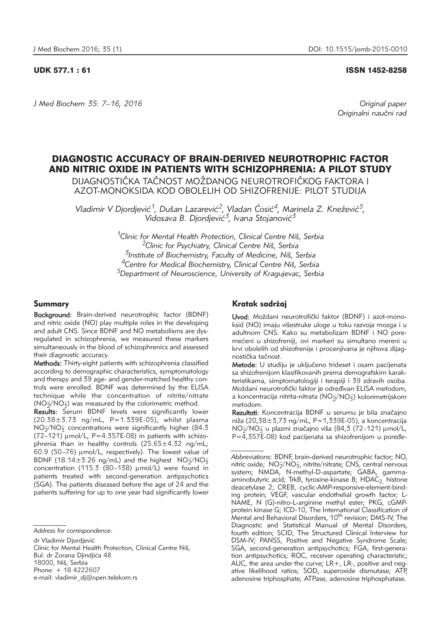#### UDK 577.1 : 61 ISSN 1452-8258

*J Med Biochem 35: 7–16, 2016 Original paper*

Originalni naučni rad

# DIAGNOSTIC ACCURACY OF BRAIN-DERIVED NEUROTROPHIC FACTOR AND NITRIC OXIDE IN PATIENTS WITH SCHIZOPHRENIA: A PILOT STUDY

DIJAGNOSTIČKA TAČNOST MOŽDANOG NEUROTROFIČKOG FAKTORA I AZOT-MONOKSIDA KOD OBOLELIH OD SHIZOFRENIJE: PILOT STUDIJA

Vladimir V Djordjević<sup>1</sup>, Dušan Lazarević<sup>2</sup>, Vladan Ćosić<sup>4</sup>, Marinela Z. Knežević<sup>5</sup>, Vidosava B. Djordjević<sup>3</sup>, Ivana Stojanović<sup>3</sup>

> *1Clinic for Mental Health Protection, Clinical Centre Ni{, Serbia 2Clinic for Psychiatry, Clinical Centre Ni{, Serbia 3Institute of Biochemistry, Faculty of Medicine, Ni{, Serbia 4Centre for Medical Biochemistry, Clinical Centre Ni{, Serbia 5Department of Neuroscience, University of Kragujevac, Serbia*

#### Summary

Background: Brain-derived neurotrophic factor (BDNF) and nitric oxide (NO) play multiple roles in the developing and adult CNS. Since BDNF and NO metabolisms are dysregulated in schizophrenia, we measured these markers simultaneously in the blood of schizophrenics and assessed their diagnostic accuracy.

Methods: Thirty-eight patients with schizophrenia classified according to demographic characteristics, symptomatology and therapy and 39 age- and gender-matched healthy controls were enrolled. BDNF was determined by the ELISA technique while the concentration of nitrite/nitrate  $(NO_{\bar{2}}/NO_{\bar{3}})$  was measured by the colorimetric method.

Results: Serum BDNF levels were significantly lower (20.38±3.73 ng/mL, P=1.339E-05), whilst plasma  $NO<sub>2</sub>/NO<sub>3</sub>$  concentrations were significantly higher (84.3  $(72-121)$   $\mu$ mol/L, P=4.357E-08) in patients with schizophrenia than in healthy controls  $(25.65 \pm 4.32 \text{ ng/mL})$  $60.9$  (50–76)  $\mu$ mol/L, respectively). The lowest value of BDNF (18.14 $\pm$ 3.26 ng/mL) and the highest  $NO_{\overline{2}}/NO_{\overline{3}}$ concentration (115.3 (80-138)  $\mu$ mol/L) were found in patients treated with second-generation antipsychotics (SGA). The patients diseased before the age of 24 and the patients suffering for up to one year had significantly lower

dr Vladimir Diordiević

Clinic for Mental Health Protection, Clinical Centre Niš, Bul. dr Zorana Djindjića 48 18000, Niš, Serbia Phone: + 18 4222607 e-mail: vladimir\_dj@open.telekom.rs

## Kratak sadržaj

Uvod: Moždani neurotrofički faktor (BDNF) i azot-monoksid (NO) imaju višestruke uloge u toku razvoja mozga i u adultnom CNS. Kako su metabolizam BDNF i NO poremećeni u shizofreniji, ovi markeri su simultano mereni u krvi obolelih od shizofrenije i procenjivana je njihova dijagnostička tačnost.

Metode: U studiju je uključeno trideset i osam pacijenata sa shizofrenijom klasifikovanih prema demografskim karakteristikama, simptomatologiji i terapiji i 39 zdravih osoba. Moždani neurotrofički faktor je određivan ELISA metodom, a koncentracija nitrita-nitrata (NO $_2^{\rm z/NO_3^{\rm -}}$ ) kolorimetrijskom metodom.

Rezultati: Koncentracija BDNF u serumu je bila značajno niža (20,38 $\pm$ 3,73 ng/mL, P=1,339E-05), a koncentracija  $NO<sub>2</sub>/NO<sub>5</sub>$  u plazmi značajno viša (84,3 (72–121) µmol/L,  $P = 4.357E-08$ ) kod pacijenata sa shizofrenijom u poređe-

*Address for correspondence:* 

*Abbreviations:* BDNF, brain-derived neurotrophic factor; NO, nitric oxide; NO<sub>2</sub>/NO<sub>3</sub>, nitrite/nitrate; CNS, central nervous system; NMDA, N-methyl-D-aspartate; GABA, gammaaminobutyric acid; TrkB, tyrosine-kinase B; HDAC<sub>2,</sub> histone deacetylase 2; CREB, cyclic-AMP-responsive-element-binding protein; VEGF, vascular endothelial growth factor; L-NAME, N (G)-nitro-L-arginine methyl ester; PKG, cGMPprotein kinase G; ICD-10, The International Classification of .<br>Mental and Behavioral Disorders, 10<sup>th</sup> revision; DMS-IV, The Diagnostic and Statistical Manual of Mental Disorders, fourth edition; SCID, The Structured Clinical Interview for DSM-IV; PANSS, Positive and Negative Syndrome Scale; SGA, second-generation antipsychotics; FGA, first-generation antipsychotics; ROC, receiver operating characteristic; AUC, the area under the curve; LR+, LR-, positive and negative likelihood ratios; SOD, superoxide dismutase; ATP, adenosine triphosphate; ATPase, adenosine triphosphatase.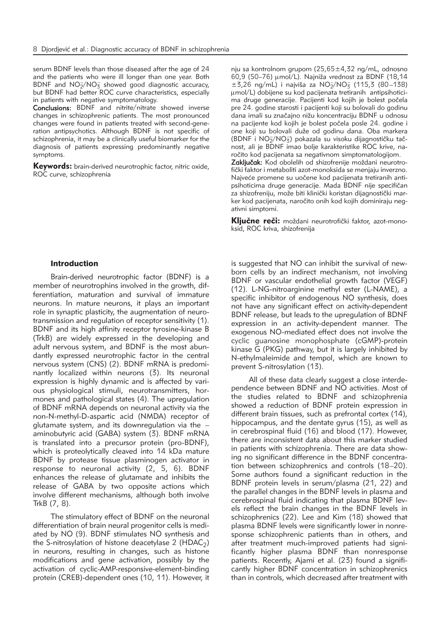serum BDNF levels than those diseased after the age of 24 and the patients who were ill longer than one year. Both BDNF and  $NO<sub>2</sub>/NO<sub>3</sub>$  showed good diagnostic accuracy, but BDNF had better ROC curve characteristics, especially in patients with negative symptomatology.

Conclusions: BDNF and nitrite/nitrate showed inverse changes in schizophrenic patients. The most pronounced changes were found in patients treated with second-generation antipsychotics. Although BDNF is not specific of schizophrenia, it may be a clinically useful biomarker for the diagnosis of patients expressing predominantly negative symptoms.

Keywords: brain-derived neurotrophic factor, nitric oxide, ROC curve, schizophrenia

nju sa kontrolnom grupom (25,65±4,32 ng/mL, odnosno 60,9 (50–76) umol/L). Najniža vrednost za BDNF (18,14  $\pm$ 3,26 ng/mL) i najviša za NO<sub>2</sub>/NO<sub>3</sub> (115,3 (80–138) mmol/L) dobijene su kod pacijenata tretiranih antipsihoticima druge generacije. Pacijenti kod kojih je bolest počela pre 24. godine starosti i pacijenti koji su bolovali do godinu dana imali su značajno nižu koncentraciju BDNF u odnosu na pacijente kod kojih je bolest počela posle 24. godine i one koji su bolovali duže od godinu dana. Oba markera  $(BDNF^{'i}NO_{\overline{2}}/NO_{\overline{3}})$  pokazala su visoku dijagnostičku tačnost, ali je BDNF imao bolje karakteristike ROC krive, naročito kod pacijenata sa negativnom simptomatologijom.

Zaključak: Kod obolelih od shizofrenije moždani neurotrofički faktor i metaboliti azot-monoksida se menjaju inverzno. Najveće promene su uočene kod pacijenata tretiranih antipsihoticima druge generacije. Mada BDNF nije specifičan za shizofreniju, može biti klinički koristan dijagnostički marker kod pacijenata, naročito onih kod kojih dominiraju negativni simptomi.

Kliučne reči: moždani neurotrofički faktor, azot-monoksid, ROC kriva, shizofrenija

### Introduction

Brain-derived neurotrophic factor (BDNF) is a member of neurotrophins involved in the growth, differentiation, maturation and survival of immature neurons. In mature neurons, it plays an important role in synaptic plasticity, the augmentation of neurotransmission and regulation of receptor sensitivity (1). BDNF and its high affinity receptor tyrosine-kinase B (TrkB) are widely expressed in the developing and adult nervous system, and BDNF is the most abundantly expressed neurotrophic factor in the central nervous system (CNS) (2). BDNF mRNA is predominantly localized within neurons (3). Its neuronal expression is highly dynamic and is affected by various physiological stimuli, neurotransmitters, hormones and pathological states (4). The upregulation of BDNF mRNA depends on neuronal activity via the non-N-methyl-D-aspartic acid (NMDA) receptor of glutamate system, and its downregulation via the – aminobutyric acid (GABA) system (3). BDNF mRNA is translated into a precursor protein (pro-BDNF), which is proteolytically cleaved into 14 kDa mature BDNF by protease tissue plasminogen activator in response to neuronal activity (2, 5, 6). BDNF enhances the release of glutamate and inhibits the release of GABA by two opposite actions which involve different mechanisms, although both involve TrkB (7, 8).

The stimulatory effect of BDNF on the neuronal differentiation of brain neural progenitor cells is mediated by NO (9). BDNF stimulates NO synthesis and the S-nitrosylation of histone deacetylase 2 (HDAC<sub>2</sub>) in neurons, resulting in changes, such as histone modifications and gene activation, possibly by the activation of cyclic-AMP-responsive-element-binding protein (CREB)-dependent ones (10, 11). However, it

is suggested that NO can inhibit the survival of newborn cells by an indirect mechanism, not involving BDNF or vascular endothelial growth factor (VEGF) (12). L-NG-nitroarginine methyl ester (L-NAME), a specific inhibitor of endogenous NO synthesis, does not have any significant effect on activity-dependent BDNF release, but leads to the upregulation of BDNF expression in an activity-dependent manner. The exogenous NO-mediated effect does not involve the cyclic guanosine monophosphate (cGMP)-protein kinase G (PKG) pathway, but it is largely inhibited by N-ethylmaleimide and tempol, which are known to prevent S-nitrosylation (13).

All of these data clearly suggest a close interdependence between BDNF and NO activities. Most of the studies related to BDNF and schizophrenia showed a reduction of BDNF protein expression in different brain tissues, such as prefrontal cortex (14), hippocampus, and the dentate gyrus (15), as well as in cerebrospinal fluid (16) and blood (17). However, there are inconsistent data about this marker studied in patients with schizophrenia. There are data showing no significant difference in the BDNF concentration between schizophrenics and controls (18–20). Some authors found a significant reduction in the BDNF protein levels in serum/plasma (21, 22) and the parallel changes in the BDNF levels in plasma and cerebrospinal fluid indicating that plasma BDNF levels reflect the brain changes in the BDNF levels in schizophrenics (22). Lee and Kim (18) showed that plasma BDNF levels were significantly lower in nonresponse schizophrenic patients than in others, and after treatment much-improved patients had significantly higher plasma BDNF than nonresponse patients. Recently, Ajami et al. (23) found a significantly higher BDNF concentration in schizophrenics than in controls, which decreased after treatment with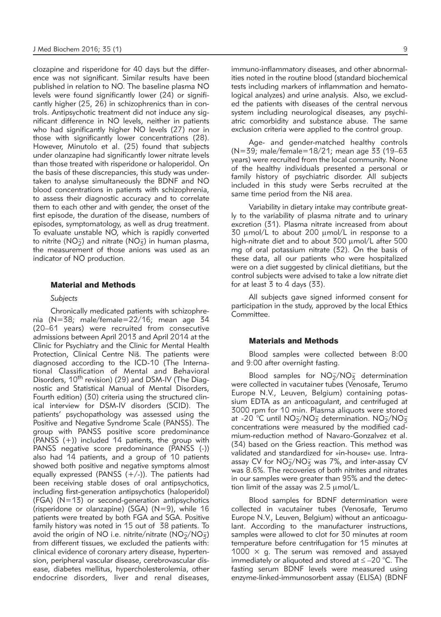clozapine and risperidone for 40 days but the difference was not significant. Similar results have been published in relation to NO. The baseline plasma NO levels were found significantly lower (24) or significantly higher (25, 26) in schizophrenics than in controls. Antipsychotic treatment did not induce any significant difference in NO levels, neither in patients who had significantly higher NO levels (27) nor in those with significantly lower concentrations (28). However, Minutolo et al. (25) found that subjects under olanzapine had significantly lower nitrate levels than those treated with risperidone or haloperidol. On the basis of these discrepancies, this study was undertaken to analyse simultaneously the BDNF and NO blood concentrations in patients with schizophrenia, to assess their diagnostic accuracy and to correlate them to each other and with gender, the onset of the first episode, the duration of the disease, numbers of episodes, symptomatology, as well as drug treatment. To evaluate unstable NO, which is rapidly converted to nitrite (NO<sub>2</sub>) and nitrate (NO<sub>3</sub>) in human plasma, the measurement of those anions was used as an indicator of NO production.

#### Material and Methods

#### *Subjects*

Chronically medicated patients with schizophrenia (N=38; male/female=22/16; mean age 34 (20–61 years) were recruited from consecutive admissions between April 2013 and April 2014 at the Clinic for Psychiatry and the Clinic for Mental Health Protection, Clinical Centre Niš. The patients were diagnosed according to the ICD-10 (The International Classification of Mental and Behavioral Disorders, 10<sup>th</sup> revision) (29) and DSM-IV (The Diagnostic and Statistical Manual of Mental Disorders, Fourth edition) (30) criteria using the structured clinical interview for DSM-IV disorders (SCID). The patients' psychopathology was assessed using the Positive and Negative Syndrome Scale (PANSS). The group with PANSS positive score predominance (PANSS (+)) included 14 patients, the group with PANSS negative score predominance (PANSS (-)) also had 14 patients, and a group of 10 patients showed both positive and negative symptoms almost equally expressed (PANSS  $(+/-)$ ). The patients had been receiving stable doses of oral antipsychotics, including first-generation antipsychotics (haloperidol) (FGA) (N=13) or second-generation antipsychotics (risperidone or olanzapine) (SGA) (N=9), while 16 patients were treated by both FGA and SGA. Positive family history was noted in 15 out of 38 patients. To avoid the origin of NO i.e. nitrite/nitrate ( $NO<sub>2</sub>/NO<sub>3</sub>$ ) from different tissues, we excluded the patients with: clinical evidence of coronary artery disease, hypertension, peripheral vascular disease, cerebrovascular disease, diabetes mellitus, hypercholesterolemia, other endocrine disorders, liver and renal diseases,

immuno-inflammatory diseases, and other abnormalities noted in the routine blood (standard biochemical tests including markers of inflammation and hematological analyzes) and urine analysis. Also, we excluded the patients with diseases of the central nervous system including neurological diseases, any psychiatric comorbidity and substance abuse. The same exclusion criteria were applied to the control group.

Age- and gender-matched healthy controls (N=39; male/female=18/21; mean age 33 (19–63 years) were recruited from the local community. None of the healthy individuals presented a personal or family history of psychiatric disorder. All subjects included in this study were Serbs recruited at the same time period from the Niš area.

Variability in dietary intake may contribute greatly to the variability of plasma nitrate and to urinary excretion (31). Plasma nitrate increased from about 30 umol/L to about 200 umol/L in response to a high-nitrate diet and to about  $300 \mu$ mol/L after  $500$ mg of oral potassium nitrate (32). On the basis of these data, all our patients who were hospitalized were on a diet suggested by clinical dietitians, but the control subjects were advised to take a low nitrate diet for at least  $3$  to 4 days ( $33$ ).

All subjects gave signed informed consent for participation in the study, approved by the local Ethics Committee.

#### Materials and Methods

Blood samples were collected between 8:00 and 9:00 after overnight fasting.

Blood samples for  $NO<sub>2</sub>/NO<sub>3</sub>$  determination were collected in vacutainer tubes (Venosafe, Terumo Europe N.V., Leuven, Belgium) containing potassium EDTA as an anticoagulant, and centrifuged at 3000 rpm for 10 min. Plasma aliquots were stored at -20<sup>'</sup>°C until NO<sub>2</sub>/NO<sub>3</sub> determination. NO<sub>2</sub>/NO<sub>3</sub> concentrations were measured by the modified cadmium-reduction method of Navaro-Gonzalvez et al. (34) based on the Griess reaction. This method was validated and standardized for »in-house« use. Intraassay CV for  $NO_2^-/NO_3^-$  was 7%, and inter-assay CV was 8.6%. The recoveries of both nitrites and nitrates in our samples were greater than 95% and the detection limit of the assay was  $2.5 \mu$ mol/L.

Blood samples for BDNF determination were collected in vacutainer tubes (Venosafe, Terumo Europe N.V., Leuven, Belgium) without an anticoagulant. According to the manufacturer instructions, samples were allowed to clot for 30 minutes at room temperature before centrifugation for 15 minutes at 1000  $\times$  g. The serum was removed and assayed immediately or aliquoted and stored at  $\leq -20$  °C. The fasting serum BDNF levels were measured using enzyme-linked-immunosorbent assay (ELISA) (BDNF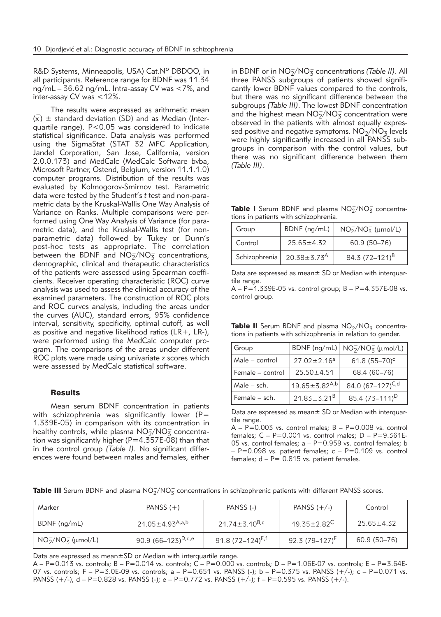R&D Systems, Minneapolis, USA) Cat.Nº DBDOO, in all participants. Reference range for BDNF was 11.34 ng/mL – 36.62 ng/mL. Intra-assay CV was <7%, and inter-assay CV was <12%.

The results were expressed as arithmetic mean  $(\overline{x}) \pm$  standard deviation (SD) and as Median (Interquartile range). P<0.05 was considered to indicate statistical significance. Data analysis was performed using the SigmaStat (STAT 32 MFC Application, Jandel Corporation, San Jose, California, version 2.0.0.173) and MedCalc (MedCalc Software bvba, Microsoft Partner, Ostend, Belgium, version 11.1.1.0) computer programs. Distribution of the results was evaluated by Kolmogorov-Smirnov test. Parametric data were tested by the Student's *t* test and non-parametric data by the Kruskal-Wallis One Way Analysis of Variance on Ranks. Multiple comparisons were performed using One Way Analysis of Variance (for parametric data), and the Kruskal-Wallis test (for nonparametric data) followed by Tukey or Dunn's post- hoc tests as appropriate. The correlation between the BDNF and  $NO<sub>2</sub>/NO<sub>3</sub>$  concentrations, demographic, clinical and therapeutic characteristics of the patients were assessed using Spearman coefficients. Receiver operating characteristic (ROC) curve analysis was used to assess the clinical accuracy of the examined parameters. The construction of ROC plots and ROC curves analysis, including the areas under the curves (AUC), standard errors, 95% confidence interval, sensitivity, specificity, optimal cutoff, as well as positive and negative likelihood ratios (LR+, LR-), were performed using the MedCalc computer program. The comparisons of the areas under different ROC plots were made using univariate z scores which were assessed by MedCalc statistical software.

#### **Results**

Mean serum BDNF concentration in patients with schizophrenia was significantly lower (P= 1.339E-05) in comparison with its concentration in healthy controls, while plasma  $\mathsf{NO_2^-/NO_3^-}$  concentration was significantly higher ( $P=4.357E-08$ ) than that in the control group *(Table I)*. No significant differences were found between males and females, either

in BDNF or in NO<sub>2</sub>/NO<sub>3</sub> concentrations *(Table II)*. All three PANSS subgroups of patients showed significantly lower BDNF values compared to the controls, but there was no significant difference between the subgroups *(Table III)*. The lowest BDNF concentration and the highest mean  $NO_2^-/NO_3^-$  concentration were observed in the patients with almost equally expressed positive and negative symptoms.  $NO_2^-/NO_3^-$  levels were highly significantly increased in all PANSS subgroups in comparison with the control values, but there was no significant difference between them *(Table III)*.

Table I Serum BDNF and plasma NO<sub>2</sub>/NO<sub>3</sub> concentrations in patients with schizophrenia.

| Group         | BDNF (ng/mL)                | $NO_2^-/NO_3^-$ ( $\mu$ mol/L) |  |
|---------------|-----------------------------|--------------------------------|--|
| Control       | $25.65 \pm 4.32$            | 60.9 (50-76)                   |  |
| Schizophrenia | $20.38 \pm 3.73^{\text{A}}$ | 84.3 $(72-121)^8$              |  |

Data are expressed as mean± SD or Median with interquartile range.

 $A - P = 1.339E - 05$  vs. control group;  $B - P = 4.357E - 08$  vs. control group.

**Table II** Serum BDNF and plasma  $NO<sub>2</sub>/NO<sub>3</sub>$  concentrations in patients with schizophrenia in relation to gender.

| Group            | BDNF (ng/mL)           | $NO2/NO3$ (µmol/L)         |
|------------------|------------------------|----------------------------|
| Male - control   | $27.02 \pm 2.16^a$     | 61.8 $(55-70)^c$           |
| Female – control | $25.50 \pm 4.51$       | 68.4 (60-76)               |
| Male – sch.      | $19.65 \pm 3.82^{A,b}$ | 84.0 $(67-127)^{C,d}$      |
| Female – sch.    | $21.83 \pm 3.21^B$     | 85.4 (73-111) <sup>D</sup> |

Data are expressed as mean± SD or Median with interquartile range.

 $A - P = 0.003$  vs. control males;  $B - P = 0.008$  vs. control females:  $C - P = 0.001$  vs. control males:  $D - P = 9.361E$ 05 vs. control females;  $a - P = 0.959$  vs. control females; b  $- P=0.098$  vs. patient females;  $c - P=0.109$  vs. control females;  $d - P = 0.815$  vs. patient females.

| <b>Table III</b> Serum BDNF and plasma $NO2/NO3- concentrations in schizophrenic patients with different PANSS scores.$ |  |
|-------------------------------------------------------------------------------------------------------------------------|--|
|-------------------------------------------------------------------------------------------------------------------------|--|

| Marker             | PANSS $(+)$                    |                                 | PANSS $(+/-)$            | Control          |  |
|--------------------|--------------------------------|---------------------------------|--------------------------|------------------|--|
| BDNF (ng/mL)       | 21.05±4.93 <sup>A,a,b</sup>    | 21.74 $\pm$ 3.10 <sup>B,c</sup> | $19.35 \pm 2.82^{\circ}$ | $25.65 \pm 4.32$ |  |
| $NO2/NO3$ (µmol/L) | 90.9 (66–123) <sup>D,d,e</sup> | 91.8 $(72-124)^{E,f}$           | 92.3 $(79-127)^F$        | 60.9 (50–76)     |  |

Data are expressed as mean±SD or Median with interquartile range.

 $A - P = 0.013$  vs. controls;  $B - P = 0.014$  vs. controls;  $C - P = 0.000$  vs. controls;  $D - P = 1.06E-07$  vs. controls;  $E - P = 3.64E-0.000$ 07 vs. controls; F – P=3.0E-09 vs. controls; a – P=0.651 vs. PANSS (-); b – P=0.375 vs. PANSS (+/-); c – P=0.071 vs. PANSS  $(+/-)$ ; d – P=0.828 vs. PANSS  $(-)$ ; e – P=0.772 vs. PANSS  $(+/-)$ ; f – P=0.595 vs. PANSS  $(+/-)$ .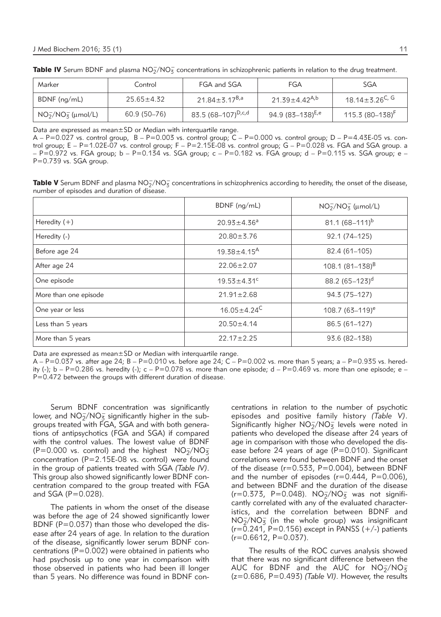| Marker                   | Control                                     | FGA and SGA                    | FGA                             | <b>SGA</b>                   |  |
|--------------------------|---------------------------------------------|--------------------------------|---------------------------------|------------------------------|--|
| BDNF (ng/mL)             | 21.84 $\pm$ 3.17 $^{B,a}$<br>$25.65 + 4.32$ |                                | 21.39 $\pm$ 4.42 <sup>A,b</sup> | 18.14 ± 3.26 <sup>C, G</sup> |  |
| $NO_2^-/NO_3^-$ (µmol/L) | 60.9 (50–76)                                | 83.5 (68–107) <sup>D,c,d</sup> | 94.9 (83–138) <sup>E,e</sup>    | 115.3 $(80-138)^F$           |  |

Table IV Serum BDNF and plasma  $NO_2^-/NO_3^-$  concentrations in schizophrenic patients in relation to the drug treatment.

Data are expressed as mean±SD or Median with interquartile range.

 $A - P = 0.027$  vs. control group,  $B - P = 0.003$  vs. control group;  $C - P = 0.000$  vs. control group;  $D - P = 4.43E-05$  vs. control group;  $E - P = 1.02E-07$  vs. control group;  $F - P = 2.15E-08$  vs. control group;  $G - P = 0.028$  vs. FGA and SGA group. a – P=0.972 vs. FGA group; b – P=0.134 vs. SGA group; c – P=0.182 vs. FGA group; d – P=0.115 vs. SGA group; e – P=0.739 vs. SGA group.

**Table V** Serum BDNF and plasma  $NO_2^-/NO_3^-$  concentrations in schizophrenics according to heredity, the onset of the disease, number of episodes and duration of disease.

|                       | BDNF (ng/mL)                  | $NO_2^-/NO_3^-$ (µmol/L) |
|-----------------------|-------------------------------|--------------------------|
| Heredity $(+)$        | $20.93 \pm 4.36^a$            | 81.1 $(68 - 111)^b$      |
| Heredity (-)          | $20.80 \pm 3.76$              | 92.1 (74-125)            |
| Before age 24         | $19.38 \pm 4.15^{\text{A}}$   | 82.4 (61-105)            |
| After age 24          | $22.06 \pm 2.07$              | 108.1 $(81 - 138)^B$     |
| One episode           | $19.53 \pm 4.31$ <sup>c</sup> | 88.2 $(65-123)^d$        |
| More than one episode | $21.91 \pm 2.68$              | 94.3 (75-127)            |
| One year or less      | $16.05 \pm 4.24^C$            | $108.7(63-119)^e$        |
| Less than 5 years     | $20.50 \pm 4.14$              | 86.5 (61-127)            |
| More than 5 years     | $22.17 \pm 2.25$              | 93.6 (82-138)            |

Data are expressed as mean±SD or Median with interquartile range.

 $A - P = 0.037$  vs. after age 24;  $B - P = 0.010$  vs. before age 24;  $C - P = 0.002$  vs. more than 5 years; a  $- P = 0.935$  vs. heredity (-);  $b - P = 0.286$  vs. heredity (-);  $c - P = 0.078$  vs. more than one episode;  $d - P = 0.469$  vs. more than one episode;  $e -$ P=0.472 between the groups with different duration of disease.

Serum BDNF concentration was significantly lower, and  $NO_{\overline{2}}/NO_{\overline{3}}$  significantly higher in the subgroups treated with FGA, SGA and with both generations of antipsychotics (FGA and SGA) if compared with the control values. The lowest value of BDNF  $(P=0.000 \text{ vs. control})$  and the highest  $NO<sub>2</sub>/NO<sub>3</sub>$ concentration (P=2.15E-08 vs. control) were found in the group of patients treated with SGA *(Table IV)*. This group also showed significantly lower BDNF concentration compared to the group treated with FGA and SGA (P=0.028).

The patients in whom the onset of the disease was before the age of 24 showed significantly lower BDNF ( $P=0.037$ ) than those who developed the disease after 24 years of age. In relation to the duration of the disease, significantly lower serum BDNF concentrations ( $P=0.002$ ) were obtained in patients who had psychosis up to one year in comparison with those observed in patients who had been ill longer than 5 years. No difference was found in BDNF concentrations in relation to the number of psychotic episodes and positive family history *(Table V)*. Significantly higher  $NO<sub>2</sub>/NO<sub>3</sub><sup>-</sup>$  levels were noted in patients who developed the disease after 24 years of age in comparison with those who developed the disease before 24 years of age (P=0.010). Significant correlations were found between BDNF and the onset of the disease ( $r=0.533$ ,  $P=0.004$ ), between BDNF and the number of episodes  $(r=0.444, P=0.006)$ , and between BDNF and the duration of the disease  $(r=0.373, P=0.048)$ .  $NO<sub>2</sub>/NO<sub>3</sub>$  was not significantly correlated with any of the evaluated characteristics, and the correlation between BDNF and  $NO<sub>2</sub>/NO<sub>3</sub>$  (in the whole group) was insignificant  $(r=0.241, P=0.156)$  except in PANSS  $(+/-)$  patients  $(r=0.6612, P=0.037)$ .

The results of the ROC curves analysis showed that there was no significant difference between the AUC for BDNF and the AUC for  $NO<sub>2</sub>/NO<sub>3</sub>$ (z=0.686, P=0.493) *(Table VI)*. However, the results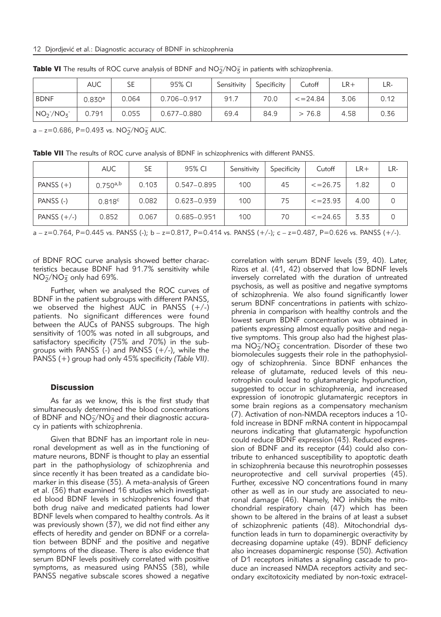|               | <b>AUC</b> | SE    | 95% CI      | Sensitivity | Specificity | Cutoff         | ∟R+  | LR-  |
|---------------|------------|-------|-------------|-------------|-------------|----------------|------|------|
| <b>BDNF</b>   | 0.830a     | 0.064 | 0.706-0.917 | 91.7        | 70.0        | $\leq$ = 24.84 | 3.06 | 0.12 |
| $NO2^-/NO3^-$ | 0.791      | 0.055 | 0.677-0.880 | 69.4        | 84.9        | 76.8<br>$\geq$ | 4.58 | 0.36 |

**Table VI** The results of ROC curve analysis of BDNF and  $NO<sub>2</sub>/NO<sub>3</sub>$  in patients with schizophrenia.

 $a - z = 0.686$ , P=0.493 vs.  $NO<sub>2</sub>/NO<sub>3</sub>$  AUC.

Table VII The results of ROC curve analysis of BDNF in schizophrenics with different PANSS.

|               | <b>AUC</b>    | <b>SE</b> | 95% CI          | Sensitivity | Specificity | Cutoff         | LR+  | LR- |
|---------------|---------------|-----------|-----------------|-------------|-------------|----------------|------|-----|
| PANSS $(+)$   | $0.750^{a,b}$ | 0.103     | $0.547 - 0.895$ | 100         | 45          | $\leq$ = 26.75 | 1.82 |     |
| PANSS (-)     | 0.818c        | 0.082     | $0.623 - 0.939$ | 100         | 75          | $\leq$ = 23.93 | 4.00 |     |
| PANSS $(+/-)$ | 0.852         | 0.067     | 0.685-0.951     | 100         | 70          | $\leq$ = 24.65 | 3.33 |     |

a – z=0.764, P=0.445 vs. PANSS (-); b – z=0.817, P=0.414 vs. PANSS (+/-); c – z=0.487, P=0.626 vs. PANSS (+/-).

of BDNF ROC curve analysis showed better characteristics because BDNF had 91.7% sensitivity while  $NO<sub>2</sub><sup>-</sup>/NO<sub>3</sub><sup>-</sup>$  only had 69%.

Further, when we analysed the ROC curves of BDNF in the patient subgroups with different PANSS, we observed the highest  $AUC$  in PANSS  $(+/-)$ patients. No significant differences were found between the AUCs of PANSS subgroups. The high sensitivity of 100% was noted in all subgroups, and satisfactory specificity (75% and 70%) in the subgroups with PANSS  $(-)$  and PANSS  $(+/-)$ , while the PANSS (+) group had only 45% specificity *(Table VII)*.

#### **Discussion**

As far as we know, this is the first study that simultaneously determined the blood concentrations of BDNF and  $NO_2^-/NO_3^-$  and their diagnostic accuracy in patients with schizophrenia.

Given that BDNF has an important role in neuronal development as well as in the functioning of mature neurons, BDNF is thought to play an essential part in the pathophysiology of schizophrenia and since recently it has been treated as a candidate biomarker in this disease (35). A meta-analysis of Green et al. (36) that examined 16 studies which investigated blood BDNF levels in schizophrenics found that both drug naïve and medicated patients had lower BDNF levels when compared to healthy controls. As it was previously shown (37), we did not find either any effects of heredity and gender on BDNF or a correlation between BDNF and the positive and negative symptoms of the disease. There is also evidence that serum BDNF levels positively correlated with positive symptoms, as measured using PANSS (38), while PANSS negative subscale scores showed a negative correlation with serum BDNF levels (39, 40). Later, Rizos et al. (41, 42) observed that low BDNF levels inversely correlated with the duration of untreated psychosis, as well as positive and negative symptoms of schizophrenia. We also found significantly lower serum BDNF concentrations in patients with schizophrenia in comparison with healthy controls and the lowest serum BDNF concentration was obtained in patients expressing almost equally positive and negative symptoms. This group also had the highest plasma  $\text{NO}_2^-/\text{NO}_3^-$  concentration. Disorder of these two biomolecules suggests their role in the pathophysiology of schizophrenia. Since BDNF enhances the release of glutamate, reduced levels of this neurotrophin could lead to glutamatergic hypofunction, suggested to occur in schizophrenia, and increased expression of ionotropic glutamatergic receptors in some brain regions as a compensatory mechanism (7). Activation of non-NMDA receptors induces a 10 fold increase in BDNF mRNA content in hippocampal neurons indicating that glutamatergic hypofunction could reduce BDNF expression (43). Reduced expression of BDNF and its receptor (44) could also contribute to enhanced susceptibility to apoptotic death in schizophrenia because this neurotrophin possesses neuroprotective and cell survival properties (45). Further, excessive NO concentrations found in many other as well as in our study are associated to neuronal damage (46). Namely, NO inhibits the mitochondrial respiratory chain (47) which has been shown to be altered in the brains of at least a subset of schizophrenic patients (48). Mitochondrial dysfunction leads in turn to dopaminergic overactivity by decreasing dopamine uptake (49). BDNF deficiency also increases dopaminergic response (50). Activation of D1 receptors initiates a signaling cascade to produce an increased NMDA receptors activity and secondary excitotoxicity mediated by non-toxic extracel-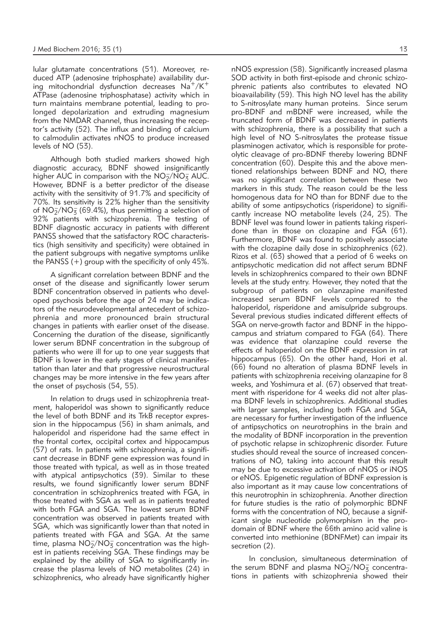lular glutamate concentrations (51). Moreover, reduced ATP (adenosine triphosphate) availability during mitochondrial dysfunction decreases  $Na^+/K^+$ ATPase (adenosine triphosphatase) activity which in turn maintains membrane potential, leading to prolonged depolarization and extruding magnesium from the NMDAR channel, thus increasing the receptor's activity (52). The influx and binding of calcium to calmodulin activates nNOS to produce increased levels of NO (53).

Although both studied markers showed high diagnostic accuracy, BDNF showed insignificantly higher AUC in comparison with the  $NO<sub>2</sub>/NO<sub>3</sub>$  AUC. However, BDNF is a better predictor of the disease activity with the sensitivity of 91.7% and specificity of 70%. Its sensitivity is 22% higher than the sensitivity of  $NO<sub>2</sub>/NO<sub>3</sub>$  (69.4%), thus permitting a selection of 92% patients with schizophrenia. The testing of BDNF diagnostic accuracy in patients with different PANSS showed that the satisfactory ROC characteristics (high sensitivity and specificity) were obtained in the patient subgroups with negative symptoms unlike the PANSS (+) group with the specificity of only 45%.

A significant correlation between BDNF and the onset of the disease and significantly lower serum BDNF concentration observed in patients who developed psychosis before the age of 24 may be indicators of the neurodevelopmental antecedent of schizophrenia and more pronounced brain structural changes in patients with earlier onset of the disease. Concerning the duration of the disease, significantly lower serum BDNF concentration in the subgroup of patients who were ill for up to one year suggests that BDNF is lower in the early stages of clinical manifestation than later and that progressive neurostructural changes may be more intensive in the few years after the onset of psychosis (54, 55).

In relation to drugs used in schizophrenia treatment, haloperidol was shown to significantly reduce the level of both BDNF and its TrkB receptor expression in the hippocampus (56) in sham animals, and haloperidol and risperidone had the same effect in the frontal cortex, occipital cortex and hippocampus (57) of rats. In patients with schizophrenia, a significant decrease in BDNF gene expression was found in those treated with typical, as well as in those treated with atypical antipsychotics (39). Similar to these results, we found significantly lower serum BDNF concentration in schizophrenics treated with FGA, in those treated with SGA as well as in patients treated with both FGA and SGA. The lowest serum BDNF concentration was observed in patients treated with SGA, which was significantly lower than that noted in patients treated with FGA and SGA. At the same time, plasma  $NO<sub>2</sub>/NO<sub>3</sub>$  concentration was the highest in patients receiving SGA. These findings may be explained by the ability of SGA to significantly increase the plasma levels of NO metabolites (24) in schizophrenics, who already have significantly higher

nNOS expression (58). Significantly increased plasma SOD activity in both first-episode and chronic schizophrenic patients also contributes to elevated NO bioavailability (59). This high NO level has the ability to S-nitrosylate many human proteins. Since serum pro-BDNF and mBDNF were increased, while the truncated form of BDNF was decreased in patients with schizophrenia, there is a possibility that such a high level of NO S-nitrosylates the protease tissue plasminogen activator, which is responsible for proteolytic cleavage of pro-BDNF thereby lowering BDNF concentration (60). Despite this and the above mentioned relationships between BDNF and NO, there was no significant correlation between these two markers in this study. The reason could be the less homogenous data for NO than for BDNF due to the ability of some antipsychotics (risperidone) to significantly increase NO metabolite levels (24, 25). The BDNF level was found lower in patients taking risperidone than in those on clozapine and FGA (61). Furthermore, BDNF was found to positively associate with the clozapine daily dose in schizophrenics (62). Rizos et al. (63) showed that a period of 6 weeks on antipsychotic medication did not affect serum BDNF levels in schizophrenics compared to their own BDNF levels at the study entry. However, they noted that the subgroup of patients on olanzapine manifested increased serum BDNF levels compared to the haloperidol, risperidone and amisulpride subgroups. Several previous studies indicated different effects of SGA on nerve-growth factor and BDNF in the hippocampus and striatum compared to FGA (64). There was evidence that olanzapine could reverse the effects of haloperidol on the BDNF expression in rat hippocampus (65). On the other hand, Hori et al. (66) found no alteration of plasma BDNF levels in patients with schizophrenia receiving olanzapine for 8 weeks, and Yoshimura et al. (67) observed that treatment with risperidone for 4 weeks did not alter plasma BDNF levels in schizophrenics. Additional studies with larger samples, including both FGA and SGA, are necessary for further investigation of the influence of antipsychotics on neurotrophins in the brain and the modality of BDNF incorporation in the prevention of psychotic relapse in schizophrenic disorder. Future studies should reveal the source of increased concentrations of NO, taking into account that this result may be due to excessive activation of nNOS or iNOS or eNOS. Epigenetic regulation of BDNF expression is also important as it may cause low concentrations of this neurotrophin in schizophrenia. Another direction for future studies is the ratio of polymorphic BDNF forms with the concentration of NO, because a significant single nucleotide polymorphism in the prodomain of BDNF where the 66th amino acid valine is converted into methionine (BDNFMet) can impair its secretion (2).

In conclusion, simultaneous determination of the serum BDNF and plasma  $NO<sub>2</sub>/NO<sub>3</sub>$  concentrations in patients with schizophrenia showed their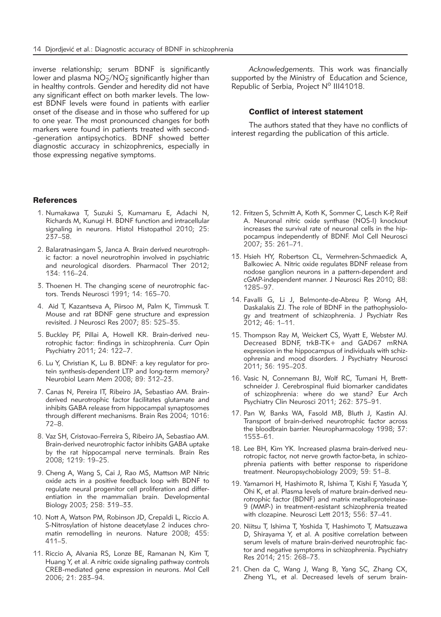inverse relationship; serum BDNF is significantly lower and plasma  $\overline{\text{NO}_2^-}/\text{NO}_3^-$  significantly higher than in healthy controls. Gender and heredity did not have any significant effect on both marker levels. The lowest BDNF levels were found in patients with earlier onset of the disease and in those who suffered for up to one year. The most pronounced changes for both markers were found in patients treated with second- -generation antipsychotics. BDNF showed better diagnostic accuracy in schizophrenics, especially in those expressing negative symptoms.

#### **References**

- 1. Numakawa T, Suzuki S, Kumamaru E, Adachi N, Richards M, Kunugi H. BDNF function and intracellular signaling in neurons. Histol Histopathol 2010; 25: 237–58.
- 2. Balaratnasingam S, Janca A. Brain derived neurotrophic factor: a novel neurotrophin involved in psychiatric and neurological disorders. Pharmacol Ther 2012; 134: 116–24.
- 3. Thoenen H. The changing scene of neurotrophic factors. Trends Neurosci 1991; 14: 165–70.
- 4. Aid T, Kazantseva A, Piirsoo M, Palm K, Timmusk T. Mouse and rat BDNF gene structure and expression revisited. J Neurosci Res 2007; 85: 525–35.
- 5. Buckley PF, Pillai A, Howell KR. Brain-derived neurotrophic factor: findings in schizophrenia. Curr Opin Psychiatry 2011; 24: 122–7.
- 6. Lu Y, Christian K, Lu B. BDNF: a key regulator for protein synthesis-dependent LTP and long-term memory? Neurobiol Learn Mem 2008; 89: 312-23.
- 7. Canas N, Pereira IT, Ribeiro JA, Sebastiao AM. Brainderived neurotrophic factor facilitates glutamate and inhibits GABA release from hippocampal synaptosomes through different mechanisms. Brain Res 2004; 1016: 72–8.
- 8. Vaz SH, Cristovao-Ferreira S, Ribeiro JA, Sebastiao AM. Brain-derived neurotrophic factor inhibits GABA uptake by the rat hippocampal nerve terminals. Brain Res 2008; 1219: 19–25.
- 9. Cheng A, Wang S, Cai J, Rao MS, Mattson MP. Nitric oxide acts in a positive feedback loop with BDNF to regulate neural progenitor cell proliferation and differentiation in the mammalian brain. Developmental Biology 2003; 258: 319–33.
- 10. Nott A, Watson PM, Robinson JD, Crepaldi L, Riccio A. S-Nitrosylation of histone deacetylase 2 induces chromatin remodelling in neurons. Nature 2008; 455: 411–5.
- 11. Riccio A, Alvania RS, Lonze BE, Ramanan N, Kim T, Huang Y, et al. A nitric oxide signaling pathway controls CREB-mediated gene expression in neurons. Mol Cell 2006; 21: 283–94.

*Acknowledgements.* This work was financially supported by the Ministry of Education and Science, Republic of Serbia, Project Nº III41018.

#### Conflict of interest statement

The authors stated that they have no conflicts of interest regarding the publication of this article.

- 12. Fritzen S, Schmitt A, Koth K, Sommer C, Lesch K-P, Reif A. Neuronal nitric oxide synthase (NOS-I) knockout increases the survival rate of neuronal cells in the hippocampus independently of BDNF. Mol Cell Neurosci 2007; 35: 261–71.
- 13. Hsieh HY, Robertson CL, Vermehren-Schmaedick A, Balkowiec A. Nitric oxide regulates BDNF release from nodose ganglion neurons in a pattern-dependent and cGMP-independent manner. J Neurosci Res 2010; 88: 1285–97.
- 14. Favalli G, Li J, Belmonte-de-Abreu P, Wong AH, Daskalakis ZJ. The role of BDNF in the pathophysiology and treatment of schizophrenia. J Psychiatr Res 2012; 46: 1–11.
- 15. Thompson Ray M, Weickert CS, Wyatt E, Webster MJ. Decreased BDNF, trkB-TK+ and GAD67 mRNA expression in the hippocampus of individuals with schizophrenia and mood disorders. J Psychiatry Neurosci 2011; 36: 195–203.
- 16. Vasic N, Connemann BJ, Wolf RC, Tumani H, Brettschneider J. Cerebrospinal fluid biomarker candidates of schizophrenia: where do we stand? Eur Arch Psychiatry Clin Neurosci 2011; 262: 375–91.
- 17. Pan W, Banks WA, Fasold MB, Bluth J, Kastin AJ. Transport of brain-derived neurotrophic factor across the bloodbrain barrier. Neuropharmacology 1998; 37: 1553–61.
- 18. Lee BH, Kim YK. Increased plasma brain-derived neurotropic factor, not nerve growth factor-beta, in schizophrenia patients with better response to risperidone treatment. Neuropsychobiology 2009; 59: 51–8.
- 19. Yamamori H, Hashimoto R, Ishima T, Kishi F, Yasuda Y, Ohi K, et al. Plasma levels of mature brain-derived neurotrophic factor (BDNF) and matrix metalloproteinase-9 (MMP-) in treatment-resistant schizophrenia treated with clozapine. Neurosci Lett 2013; 556: 37–41.
- 20. Niitsu T, Ishima T, Yoshida T, Hashimoto T, Matsuzawa D, Shirayama Y, et al. A positive correlation between serum levels of mature brain-derived neurotrophic factor and negative symptoms in schizophrenia. Psychiatry Res 2014; 215: 268–73.
- 21. Chen da C, Wang J, Wang B, Yang SC, Zhang CX, Zheng YL, et al. Decreased levels of serum brain-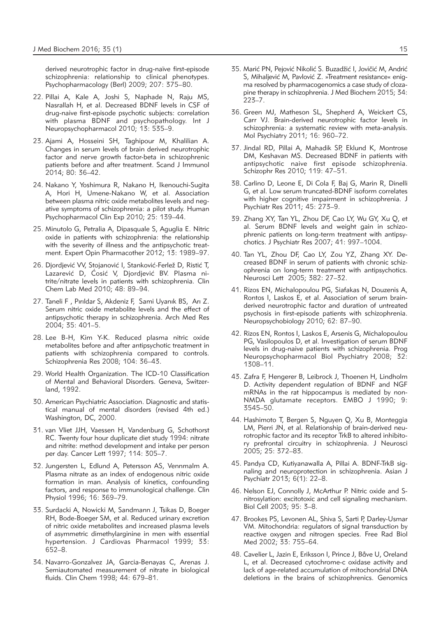derived neurotrophic factor in drug-naïve first-episode schizophrenia: relationship to clinical phenotypes. Psychopharmacology (Berl) 2009; 207: 375–80.

- 22. Pillai A, Kale A, Joshi S, Naphade N, Raju MS, Nasrallah H, et al. Decreased BDNF levels in CSF of drug-naive first-episode psychotic subjects: correlation with plasma BDNF and psychopathology. Int J Neuropsychopharmacol 2010; 13: 535–9.
- 23. Ajami A, Hosseini SH, Taghipour M, Khalilian A. Changes in serum levels of brain derived neurotrophic factor and nerve growth factor-beta in schizophrenic patients before and after treatment. Scand J Immunol 2014; 80: 36–42.
- 24. Nakano Y, Yoshimura R, Nakano H, Ikenouchi-Sugita A, Hori H, Umene-Nakano W, et al. Association between plasma nitric oxide metabolites levels and negative symptoms of schizophrenia: a pilot study. Human Psychopharmacol Clin Exp 2010; 25: 139–44.
- 25. Minutolo G, Petralia A, Dipasquale S, Aguglia E. Nitric oxide in patients with schizophrenia: the relationship with the severity of illness and the antipsychotic treatment. Expert Opin Pharmacother 2012; 13: 1989–97.
- 26. Diordiević VV, Stojanović I, Stanković-Ferlež D, Ristić T, Lazarević D, Ćosić V, Djordjević BV. Plasma nitrite/nitrate levels in patients with schizophrenia. Clin Chem Lab Med 2010; 48: 89–94.
- 27. Taneli F , Pırıldar S, Akdeniz F, Sami Uyanık BS, Arı Z. Serum nitric oxide metabolite levels and the effect of antipsychotic therapy in schizophrenia. Arch Med Res 2004; 35: 401–5.
- 28. Lee B-H, Kim Y-K. Reduced plasma nitric oxide metabolites before and after antipsychotic treatment in patients with schizophrenia compared to controls. Schizophrenia Res 2008; 104: 36–43.
- 29. World Health Organization. The ICD-10 Classification of Mental and Behavioral Disorders. Geneva, Switzerland, 1992.
- 30. American Psychiatric Association. Diagnostic and statistical manual of mental disorders (revised 4th ed.) Washington, DC, 2000.
- 31. van Vliet JJH, Vaessen H, Vandenburg G, Schothorst RC. Twenty four hour duplicate diet study 1994: nitrate and nitrite: method development and intake per person per day. Cancer Lett 1997; 114: 305–7.
- 32. Jungersten L, Edlund A, Petersson AS, Vennmalm A. Plasma nitrate as an index of endogenous nitric oxide formation in man. Analysis of kinetics, confounding factors, and response to immunological challenge. Clin Physiol 1996; 16: 369–79.
- 33. Surdacki A, Nowicki M, Sandmann J, Tsikas D, Boeger RH, Bode-Boeger SM, et al. Reduced urinary excretion of nitric oxide metabolites and increased plasma levels of asymmetric dimethylarginine in men with essential hypertension. J Cardiovas Pharmacol 1999; 33: 652–8.
- 34. Navarro-Gonzalvez JA, Garcia-Benayas C, Arenas J. Semiautomated measurement of nitrate in biological fluids. Clin Chem 1998; 44: 679–81.
- 35. Marić PN, Pejović Nikolić S. Buzadžić I, Jovičić M, Andrić S, Mihaljević M, Pavlović Z. »Treatment resistance« enigma resolved by pharmacogenomics a case study of clozapine therapy in schizophrenia. J Med Biochem 2015; 34: 223–7.
- 36. Green MJ, Matheson SL, Shepherd A, Weickert CS, Carr VJ. Brain-derived neurotrophic factor levels in schizophrenia: a systematic review with meta-analysis. Mol Psychiatry 2011; 16: 960–72.
- 37. Jindal RD, Pillai A, Mahadik SP, Eklund K, Montrose DM, Keshavan MS. Decreased BDNF in patients with antipsychotic naive first episode schizophrenia. Schizophr Res 2010; 119: 47–51.
- 38. Carlino D, Leone E, Di Cola F, Baj G, Marin R, Dinelli G, et al. Low serum truncated-BDNF isoform correlates with higher cognitive impairment in schizophrenia. J Psychiatr Res 2011; 45: 273–9.
- 39. Zhang XY, Tan YL, Zhou DF, Cao LY, Wu GY, Xu Q, et al. Serum BDNF levels and weight gain in schizophrenic patients on long-term treatment with antipsychotics. J Psychiatr Res 2007; 41: 997–1004.
- 40. Tan YL, Zhou DF, Cao LY, Zou YZ, Zhang XY. Decreased BDNF in serum of patients with chronic schizophrenia on long-term treatment with antipsychotics. Neurosci Lett 2005; 382: 27–32.
- 41. Rizos EN, Michalopoulou PG, Siafakas N, Douzenis A, Rontos I, Laskos E, et al. Association of serum brainderived neurotrophic factor and duration of untreated psychosis in first-episode patients with schizophrenia. Neuropsychobiology 2010; 62: 87–90.
- 42. Rizos EN, Rontos I, Laskos E, Arsenis G, Michalopoulou PG, Vasilopoulos D, et al. Investigation of serum BDNF levels in drug-naive patients with schizophrenia. Prog Neuropsychopharmacol Biol Psychiatry 2008; 32: 1308–11.
- 43. Zafra F, Hengerer B, Leibrock J, Thoenen H, Lindholm D. Activity dependent regulation of BDNF and NGF mRNAs in the rat hippocampus is mediated by non-NMDA glutamate receptors. EMBO J 1990; 9: 3545–50.
- 44. Hashimoto T, Bergen S, Nguyen Q, Xu B, Monteggia LM, Pierri JN, et al. Relationship of brain-derived neurotrophic factor and its receptor TrkB to altered inhibitory prefrontal circuitry in schizophrenia. J Neurosci 2005; 25: 372–83.
- 45. Pandya CD, Kutiyanawalla A, Pillai A. BDNF-TrkB signaling and neuroprotection in schizophrenia. Asian J Psychiatr 2013; 6(1): 22–8.
- 46. Nelson EJ, Connolly J, McArthur P. Nitric oxide and Snitrosylation: excitotoxic and cell signaling mechanism. Biol Cell 2003; 95: 3–8.
- 47. Brookes PS, Levonen AL, Shiva S, Sarti P, Darley-Usmar VM. Mitochondria: regulators of signal transduction by reactive oxygen and nitrogen species. Free Rad Biol Med 2002; 33: 755–64.
- 48. Cavelier L, Jazin E, Eriksson I, Prince J, Båve U, Oreland L, et al. Decreased cytochrome-c oxidase activity and lack of age-related accumulation of mitochondrial DNA deletions in the brains of schizophrenics. Genomics